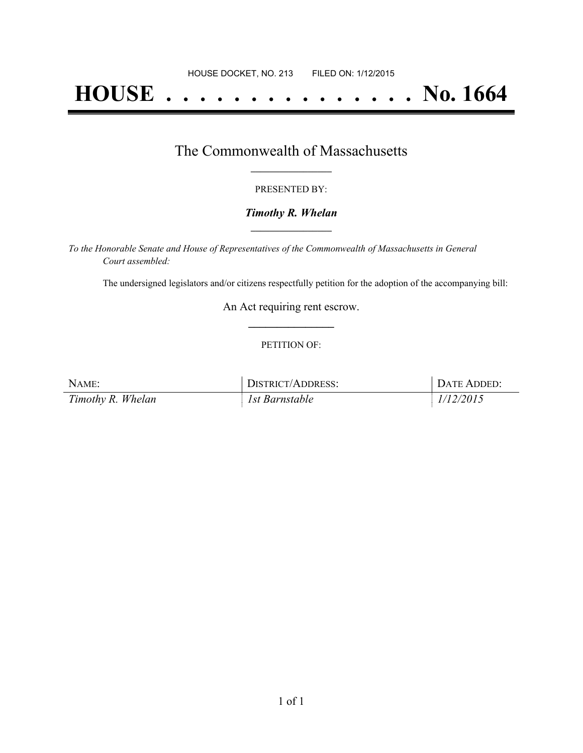# **HOUSE . . . . . . . . . . . . . . . No. 1664**

### The Commonwealth of Massachusetts **\_\_\_\_\_\_\_\_\_\_\_\_\_\_\_\_\_**

#### PRESENTED BY:

#### *Timothy R. Whelan* **\_\_\_\_\_\_\_\_\_\_\_\_\_\_\_\_\_**

*To the Honorable Senate and House of Representatives of the Commonwealth of Massachusetts in General Court assembled:*

The undersigned legislators and/or citizens respectfully petition for the adoption of the accompanying bill:

An Act requiring rent escrow. **\_\_\_\_\_\_\_\_\_\_\_\_\_\_\_**

#### PETITION OF:

| NAME:             | DISTRICT/ADDRESS: | DATE ADDED: |
|-------------------|-------------------|-------------|
| Timothy R. Whelan | 1st Barnstable    | 1/12/2015   |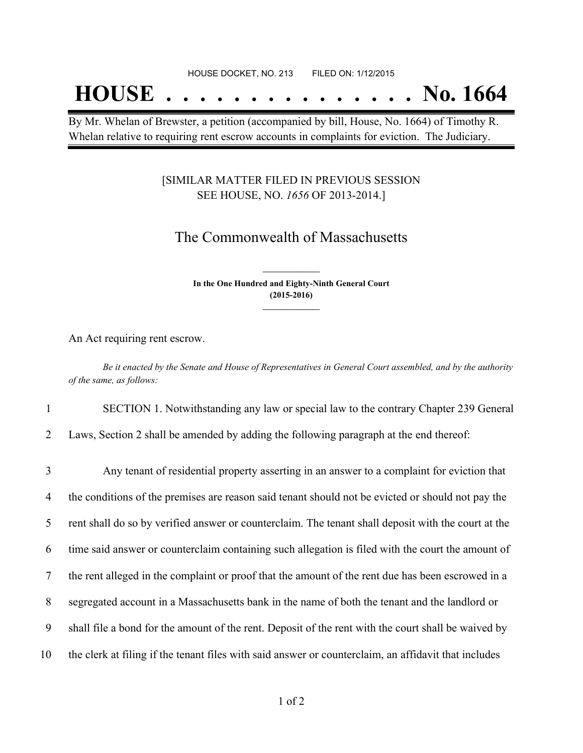## **HOUSE . . . . . . . . . . . . . . . No. 1664**

By Mr. Whelan of Brewster, a petition (accompanied by bill, House, No. 1664) of Timothy R. Whelan relative to requiring rent escrow accounts in complaints for eviction. The Judiciary.

#### [SIMILAR MATTER FILED IN PREVIOUS SESSION SEE HOUSE, NO. *1656* OF 2013-2014.]

## The Commonwealth of Massachusetts

**In the One Hundred and Eighty-Ninth General Court (2015-2016) \_\_\_\_\_\_\_\_\_\_\_\_\_\_\_**

**\_\_\_\_\_\_\_\_\_\_\_\_\_\_\_**

An Act requiring rent escrow.

Be it enacted by the Senate and House of Representatives in General Court assembled, and by the authority *of the same, as follows:*

1 SECTION 1. Notwithstanding any law or special law to the contrary Chapter 239 General

2 Laws, Section 2 shall be amended by adding the following paragraph at the end thereof:

| 3  | Any tenant of residential property asserting in an answer to a complaint for eviction that           |
|----|------------------------------------------------------------------------------------------------------|
| 4  | the conditions of the premises are reason said tenant should not be evicted or should not pay the    |
| 5  | rent shall do so by verified answer or counterclaim. The tenant shall deposit with the court at the  |
| 6  | time said answer or counterclaim containing such allegation is filed with the court the amount of    |
| 7  | the rent alleged in the complaint or proof that the amount of the rent due has been escrowed in a    |
| 8  | segregated account in a Massachusetts bank in the name of both the tenant and the landlord or        |
| 9  | shall file a bond for the amount of the rent. Deposit of the rent with the court shall be waived by  |
| 10 | the clerk at filing if the tenant files with said answer or counterclaim, an affidavit that includes |